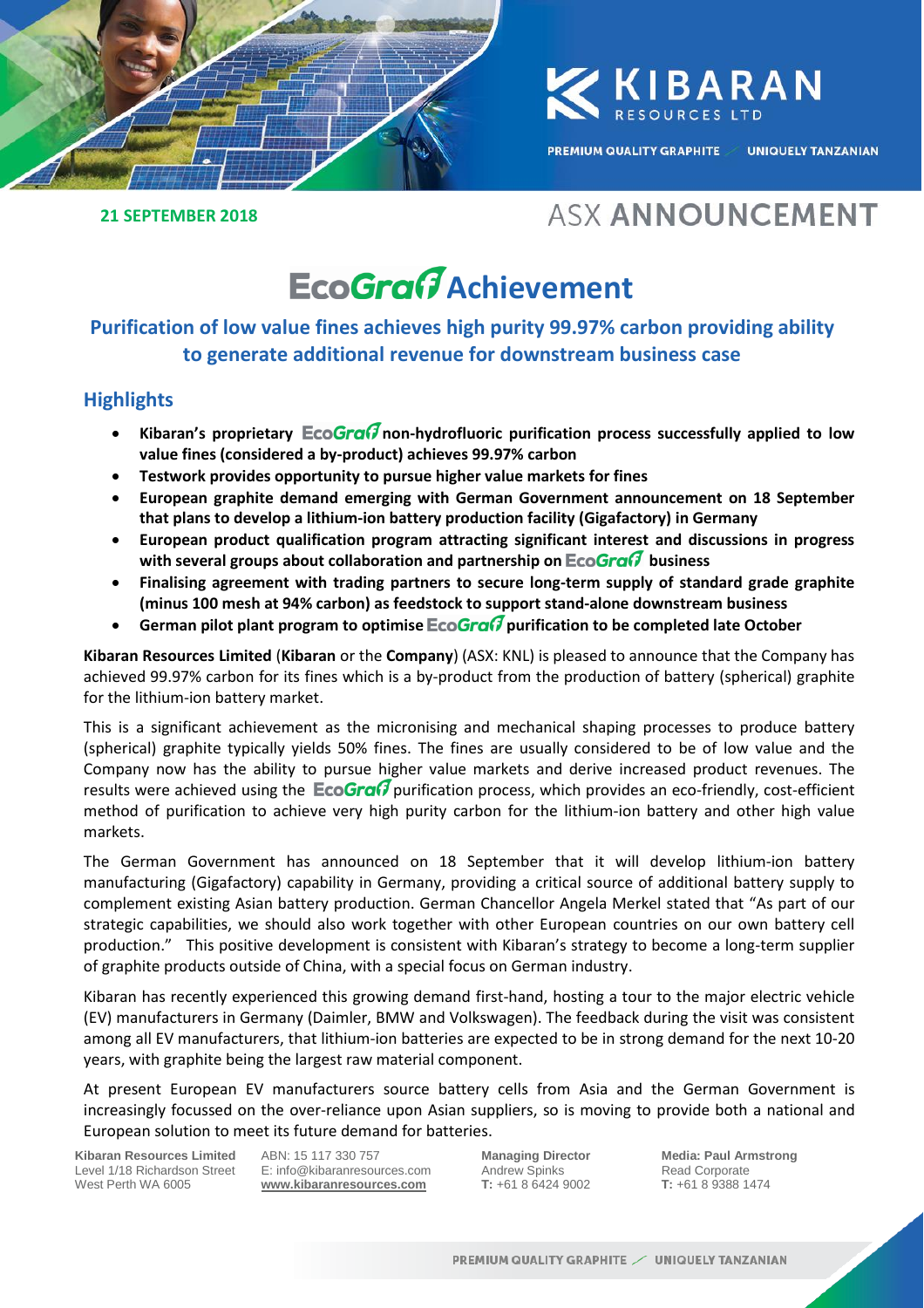

**ZKIBARAN** 

**PREMIUM QUALITY GRAPHITE / UNIQUELY TANZANIAN** 

#### **21 SEPTEMBER 2018**

## **ASX ANNOUNCEMENT**

# **EcoGraf** Achievement

### **Purification of low value fines achieves high purity 99.97% carbon providing ability to generate additional revenue for downstream business case**

#### **Highlights**

- Kibaran's proprietary **EcoGran** non-hydrofluoric purification process successfully applied to low **value fines (considered a by-product) achieves 99.97% carbon**
- **Testwork provides opportunity to pursue higher value markets for fines**
- **European graphite demand emerging with German Government announcement on 18 September that plans to develop a lithium-ion battery production facility (Gigafactory) in Germany**
- **European product qualification program attracting significant interest and discussions in progress with several groups about collaboration and partnership on business**
- **Finalising agreement with trading partners to secure long-term supply of standard grade graphite (minus 100 mesh at 94% carbon) as feedstock to support stand-alone downstream business**
- German pilot plant program to optimise **EcoGran** purification to be completed late October

**Kibaran Resources Limited** (**Kibaran** or the **Company**) (ASX: KNL) is pleased to announce that the Company has achieved 99.97% carbon for its fines which is a by-product from the production of battery (spherical) graphite for the lithium-ion battery market.

This is a significant achievement as the micronising and mechanical shaping processes to produce battery (spherical) graphite typically yields 50% fines. The fines are usually considered to be of low value and the Company now has the ability to pursue higher value markets and derive increased product revenues. The results were achieved using the  $E \circ \sigma \circ \sigma$  purification process, which provides an eco-friendly, cost-efficient method of purification to achieve very high purity carbon for the lithium-ion battery and other high value markets.

The German Government has announced on 18 September that it will develop lithium-ion battery manufacturing (Gigafactory) capability in Germany, providing a critical source of additional battery supply to complement existing Asian battery production. German Chancellor Angela Merkel stated that "As part of our strategic capabilities, we should also work together with other European countries on our own battery cell production." This positive development is consistent with Kibaran's strategy to become a long-term supplier of graphite products outside of China, with a special focus on German industry.

Kibaran has recently experienced this growing demand first-hand, hosting a tour to the major electric vehicle (EV) manufacturers in Germany (Daimler, BMW and Volkswagen). The feedback during the visit was consistent among all EV manufacturers, that lithium-ion batteries are expected to be in strong demand for the next 10-20 years, with graphite being the largest raw material component.

At present European EV manufacturers source battery cells from Asia and the German Government is increasingly focussed on the over-reliance upon Asian suppliers, so is moving to provide both a national and European solution to meet its future demand for batteries.

**Kibaran Resources Limited** Level 1/18 Richardson Street West Perth WA 6005

ABN: 15 117 330 757 E: info@kibaranresources.com **www.kibaranresources.com**

**Managing Director** Andrew Spinks **T:** +61 8 6424 9002 **Media: Paul Armstrong** Read Corporate **T:** +61 8 9388 1474 **1**